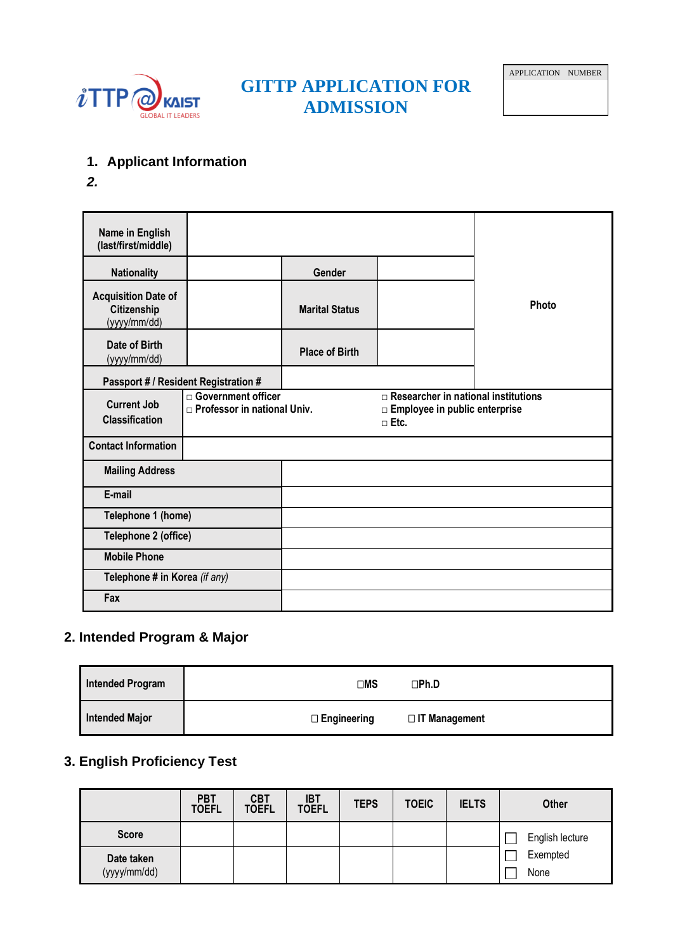

# **GITTP APPLICATION FOR ADMISSION**

- **1. Applicant Information**
- *2.*

| Name in English<br>(last/first/middle)                    |                                                     |                       |                                                                                              |       |
|-----------------------------------------------------------|-----------------------------------------------------|-----------------------|----------------------------------------------------------------------------------------------|-------|
| <b>Nationality</b>                                        |                                                     | Gender                |                                                                                              |       |
| <b>Acquisition Date of</b><br>Citizenship<br>(yyyy/mm/dd) |                                                     | <b>Marital Status</b> |                                                                                              | Photo |
| Date of Birth<br>(yyyy/mm/dd)                             |                                                     | <b>Place of Birth</b> |                                                                                              |       |
| Passport # / Resident Registration #                      |                                                     |                       |                                                                                              |       |
| <b>Current Job</b><br><b>Classification</b>               | Government officer<br>□ Professor in national Univ. |                       | $\Box$ Researcher in national institutions<br>□ Employee in public enterprise<br>$\Box$ Etc. |       |
| <b>Contact Information</b>                                |                                                     |                       |                                                                                              |       |
| <b>Mailing Address</b>                                    |                                                     |                       |                                                                                              |       |
| E-mail                                                    |                                                     |                       |                                                                                              |       |
| Telephone 1 (home)                                        |                                                     |                       |                                                                                              |       |
| Telephone 2 (office)                                      |                                                     |                       |                                                                                              |       |
| <b>Mobile Phone</b>                                       |                                                     |                       |                                                                                              |       |
| Telephone # in Korea (if any)                             |                                                     |                       |                                                                                              |       |
| Fax                                                       |                                                     |                       |                                                                                              |       |

## **2. Intended Program & Major**

| <b>Intended Program</b> | ⊟MS                | ∩Ph.D                |
|-------------------------|--------------------|----------------------|
| <b>Intended Major</b>   | $\Box$ Engineering | $\Box$ IT Management |

## **3. English Proficiency Test**

|                            | <b>PBT</b><br><b>TOEFL</b> | <b>CBT</b><br><b>TOEFL</b> | <b>IBT</b><br><b>TOEFL</b> | <b>TEPS</b> | <b>TOEIC</b> | <b>IELTS</b> | <b>Other</b>     |
|----------------------------|----------------------------|----------------------------|----------------------------|-------------|--------------|--------------|------------------|
| <b>Score</b>               |                            |                            |                            |             |              |              | English lecture  |
| Date taken<br>(yyyy/mm/dd) |                            |                            |                            |             |              |              | Exempted<br>None |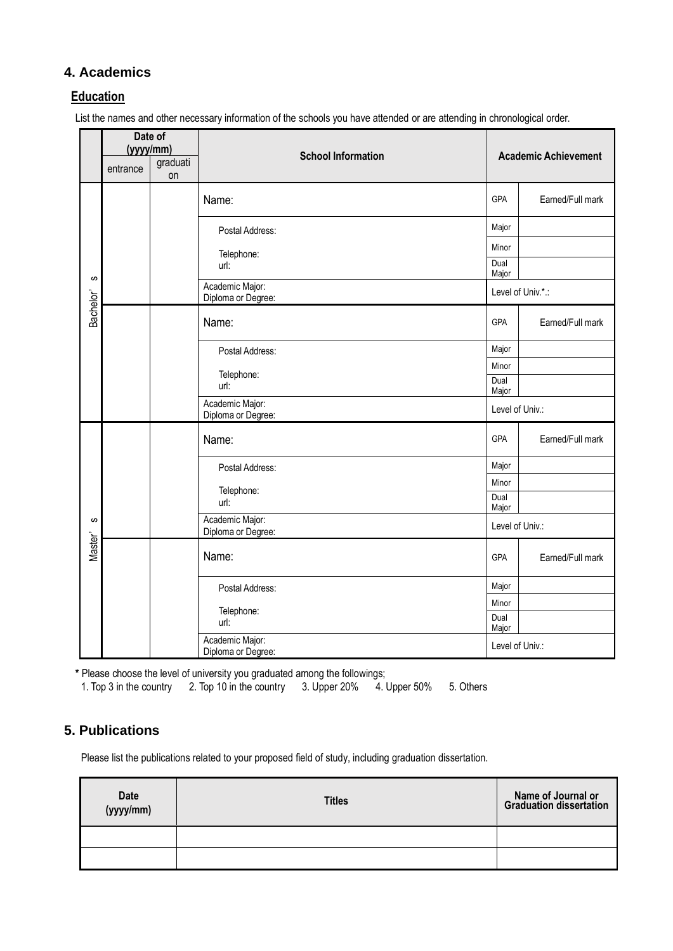### **4. Academics**

#### **Education**

List the names and other necessary information of the schools you have attended or are attending in chronological order.

|                    | Date of<br>(yyyy/mm)<br>graduati<br>entrance<br>on |  | <b>School Information</b>             |                 | <b>Academic Achievement</b> |
|--------------------|----------------------------------------------------|--|---------------------------------------|-----------------|-----------------------------|
|                    |                                                    |  | Name:                                 | GPA             | Earned/Full mark            |
|                    |                                                    |  | Postal Address:                       | Major           |                             |
|                    |                                                    |  | Telephone:                            | Minor           |                             |
|                    |                                                    |  | url:                                  | Dual<br>Major   |                             |
| $\pmb{\mathit{w}}$ |                                                    |  | Academic Major:<br>Diploma or Degree: |                 | Level of Univ.*.:           |
| Bachelor'          |                                                    |  | Name:                                 | <b>GPA</b>      | Earned/Full mark            |
|                    |                                                    |  | Postal Address:                       | Major           |                             |
|                    |                                                    |  | Telephone:                            | Minor           |                             |
|                    |                                                    |  | url:                                  | Dual<br>Major   |                             |
|                    |                                                    |  | Academic Major:<br>Diploma or Degree: | Level of Univ.: |                             |
|                    |                                                    |  | Name:                                 | <b>GPA</b>      | Earned/Full mark            |
|                    |                                                    |  | Postal Address:                       | Major           |                             |
|                    |                                                    |  | Telephone:                            | Minor           |                             |
|                    |                                                    |  | url:                                  | Dual<br>Major   |                             |
| ဖာ                 |                                                    |  | Academic Major:<br>Diploma or Degree: | Level of Univ.: |                             |
| Master'            |                                                    |  | Name:                                 | <b>GPA</b>      | Earned/Full mark            |
|                    |                                                    |  | Postal Address:                       | Major           |                             |
|                    |                                                    |  | Telephone:                            | Minor           |                             |
|                    |                                                    |  | url:                                  | Dual<br>Major   |                             |
|                    |                                                    |  | Academic Major:<br>Diploma or Degree: | Level of Univ.: |                             |

**\*** Please choose the level of university you graduated among the followings;

1. Top 3 in the country 2. Top 10 in the country 3. Upper 20% 4. Upper 50% 5. Others

#### **5. Publications**

Please list the publications related to your proposed field of study, including graduation dissertation.

| $ -$ | <b>Titles</b> | Name of Journal or<br>Graduation dissertation |
|------|---------------|-----------------------------------------------|
|      |               |                                               |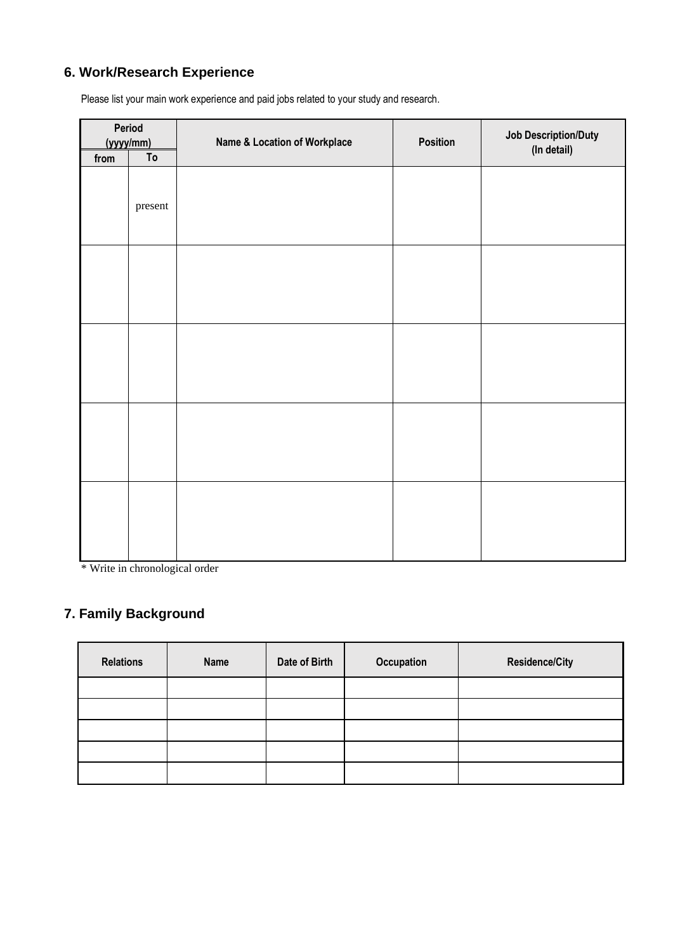## **6. Work/Research Experience**

| Period<br>(yyyy/mm) |         | Name & Location of Workplace | Position | <b>Job Description/Duty</b><br>(In detail) |  |
|---------------------|---------|------------------------------|----------|--------------------------------------------|--|
| from                | To      |                              |          |                                            |  |
|                     | present |                              |          |                                            |  |
|                     |         |                              |          |                                            |  |
|                     |         |                              |          |                                            |  |
|                     |         |                              |          |                                            |  |
|                     |         |                              |          |                                            |  |

Please list your main work experience and paid jobs related to your study and research.

\* Write in chronological order

## **7. Family Background**

| <b>Relations</b> | Name | Date of Birth | Occupation | <b>Residence/City</b> |
|------------------|------|---------------|------------|-----------------------|
|                  |      |               |            |                       |
|                  |      |               |            |                       |
|                  |      |               |            |                       |
|                  |      |               |            |                       |
|                  |      |               |            |                       |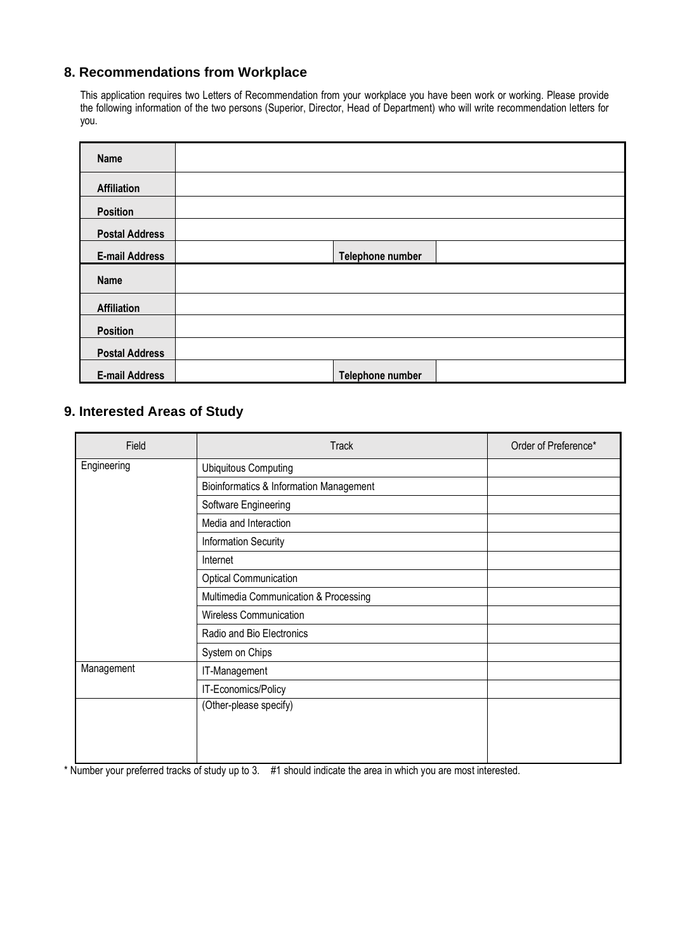## **8. Recommendations from Workplace**

This application requires two Letters of Recommendation from your workplace you have been work or working. Please provide the following information of the two persons (Superior, Director, Head of Department) who will write recommendation letters for you.

| <b>Name</b>           |                  |  |
|-----------------------|------------------|--|
| <b>Affiliation</b>    |                  |  |
| <b>Position</b>       |                  |  |
| <b>Postal Address</b> |                  |  |
| <b>E-mail Address</b> | Telephone number |  |
| <b>Name</b>           |                  |  |
| <b>Affiliation</b>    |                  |  |
| <b>Position</b>       |                  |  |
| <b>Postal Address</b> |                  |  |
|                       |                  |  |

### **9. Interested Areas of Study**

| Field       | <b>Track</b>                                       | Order of Preference* |
|-------------|----------------------------------------------------|----------------------|
| Engineering | <b>Ubiquitous Computing</b>                        |                      |
|             | <b>Bioinformatics &amp; Information Management</b> |                      |
|             | Software Engineering                               |                      |
|             | Media and Interaction                              |                      |
|             | <b>Information Security</b>                        |                      |
|             | Internet                                           |                      |
|             | <b>Optical Communication</b>                       |                      |
|             | Multimedia Communication & Processing              |                      |
|             | <b>Wireless Communication</b>                      |                      |
|             | Radio and Bio Electronics                          |                      |
|             | System on Chips                                    |                      |
| Management  | IT-Management                                      |                      |
|             | IT-Economics/Policy                                |                      |
|             | (Other-please specify)                             |                      |
|             |                                                    |                      |
|             |                                                    |                      |
|             |                                                    |                      |

\* Number your preferred tracks of study up to 3. #1 should indicate the area in which you are most interested.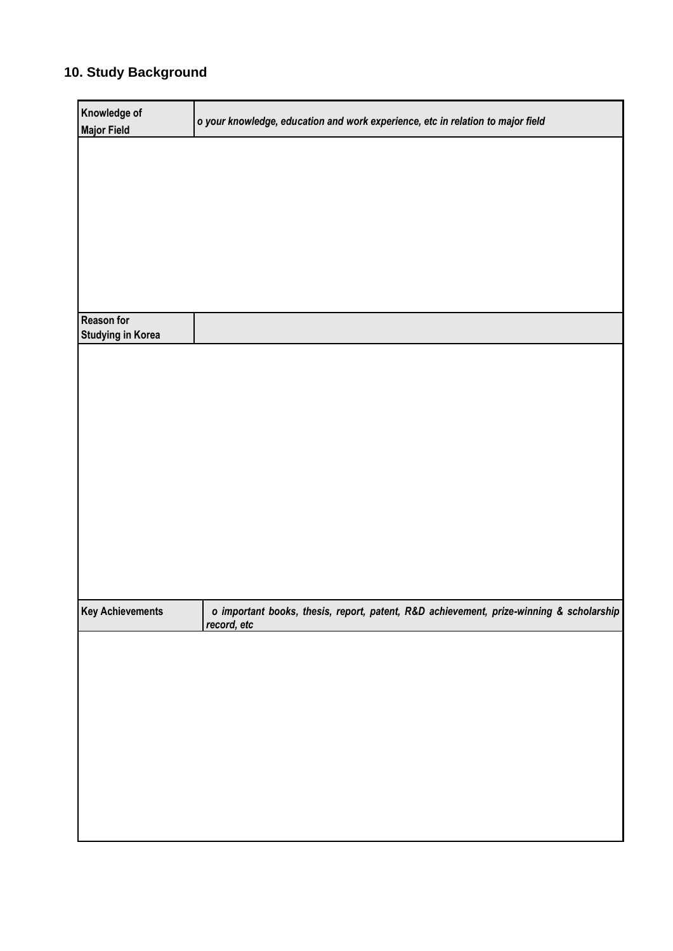## **10. Study Background**

| Knowledge of             | o your knowledge, education and work experience, etc in relation to major field                        |
|--------------------------|--------------------------------------------------------------------------------------------------------|
| <b>Major Field</b>       |                                                                                                        |
|                          |                                                                                                        |
|                          |                                                                                                        |
|                          |                                                                                                        |
|                          |                                                                                                        |
|                          |                                                                                                        |
|                          |                                                                                                        |
|                          |                                                                                                        |
|                          |                                                                                                        |
|                          |                                                                                                        |
|                          |                                                                                                        |
|                          |                                                                                                        |
| <b>Reason for</b>        |                                                                                                        |
| <b>Studying in Korea</b> |                                                                                                        |
|                          |                                                                                                        |
|                          |                                                                                                        |
|                          |                                                                                                        |
|                          |                                                                                                        |
|                          |                                                                                                        |
|                          |                                                                                                        |
|                          |                                                                                                        |
|                          |                                                                                                        |
|                          |                                                                                                        |
|                          |                                                                                                        |
|                          |                                                                                                        |
|                          |                                                                                                        |
|                          |                                                                                                        |
|                          |                                                                                                        |
|                          |                                                                                                        |
|                          |                                                                                                        |
|                          |                                                                                                        |
|                          |                                                                                                        |
| <b>Key Achievements</b>  | o important books, thesis, report, patent, R&D achievement, prize-winning & scholarship<br>record, etc |
|                          |                                                                                                        |
|                          |                                                                                                        |
|                          |                                                                                                        |
|                          |                                                                                                        |
|                          |                                                                                                        |
|                          |                                                                                                        |
|                          |                                                                                                        |
|                          |                                                                                                        |
|                          |                                                                                                        |
|                          |                                                                                                        |
|                          |                                                                                                        |
|                          |                                                                                                        |
|                          |                                                                                                        |
|                          |                                                                                                        |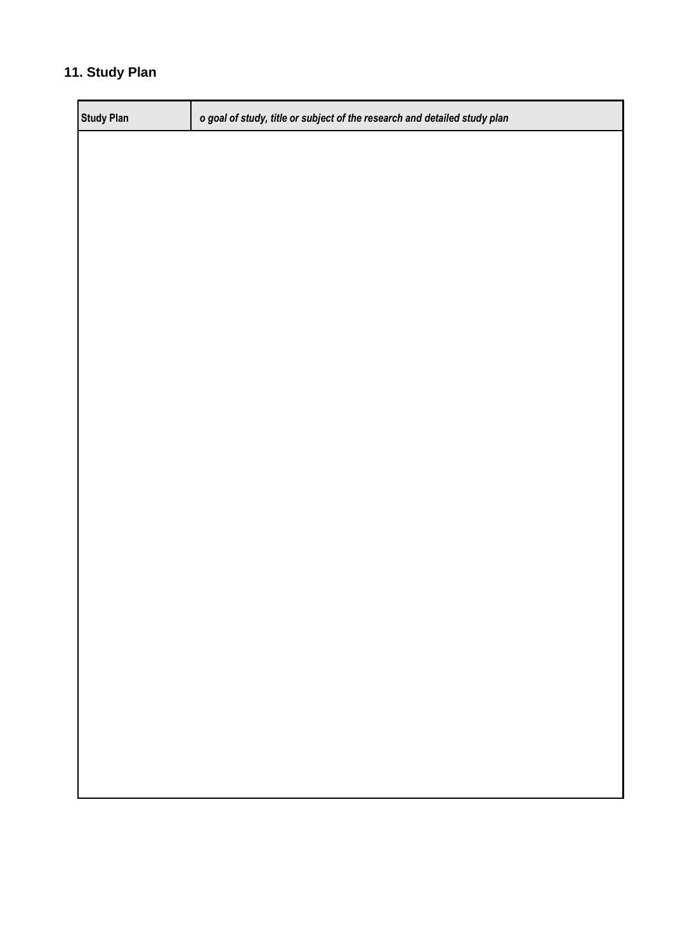## **11. Study Plan**

| <b>Study Plan</b> | o goal of study, title or subject of the research and detailed study plan |
|-------------------|---------------------------------------------------------------------------|
|                   |                                                                           |
|                   |                                                                           |
|                   |                                                                           |
|                   |                                                                           |
|                   |                                                                           |
|                   |                                                                           |
|                   |                                                                           |
|                   |                                                                           |
|                   |                                                                           |
|                   |                                                                           |
|                   |                                                                           |
|                   |                                                                           |
|                   |                                                                           |
|                   |                                                                           |
|                   |                                                                           |
|                   |                                                                           |
|                   |                                                                           |
|                   |                                                                           |
|                   |                                                                           |
|                   |                                                                           |
|                   |                                                                           |
|                   |                                                                           |
|                   |                                                                           |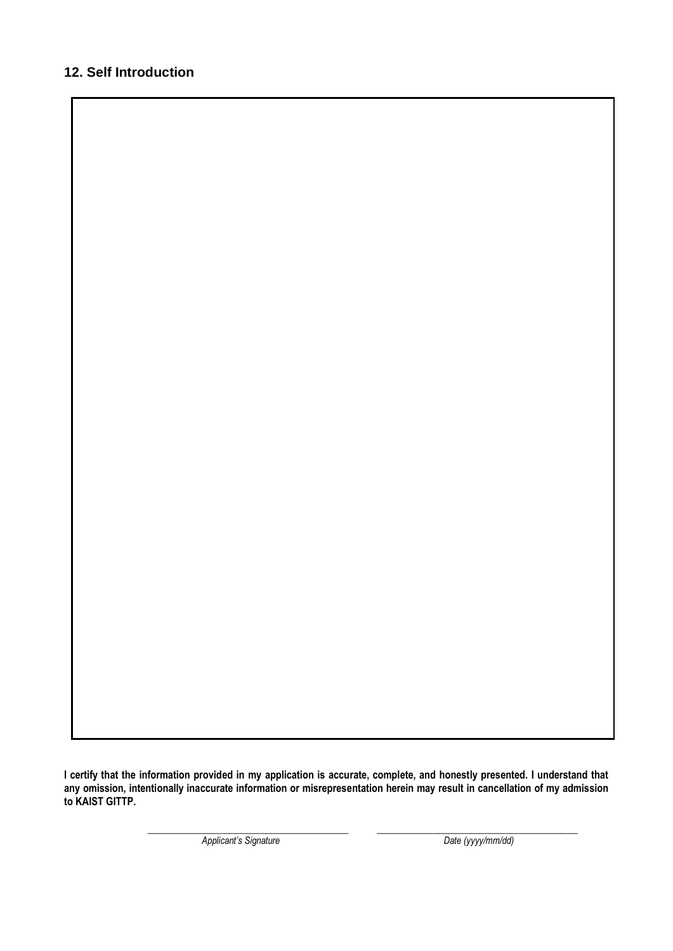### **12. Self Introduction**

**I certify that the information provided in my application is accurate, complete, and honestly presented. I understand that any omission, intentionally inaccurate information or misrepresentation herein may result in cancellation of my admission to KAIST GITTP.**

**\_\_\_\_\_\_\_\_\_\_\_\_\_\_\_\_\_\_\_\_\_\_\_\_\_\_\_\_\_\_\_\_\_\_\_\_\_\_\_ \_\_\_\_\_\_\_\_\_\_\_\_\_\_\_\_\_\_\_\_\_\_\_\_\_\_\_\_\_\_\_\_\_\_\_\_\_\_\_**

*Applicant's Signature Date (yyyy/mm/dd)*